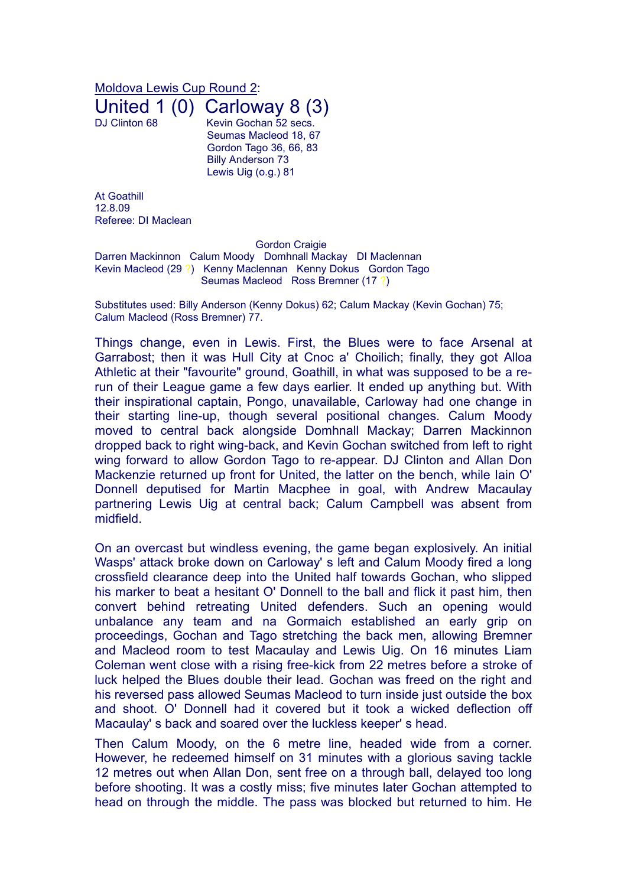Moldova Lewis Cup Round 2:

United 1  $(0)$  Carloway 8  $(3)$ <br>DJ Clinton 68

Kevin Gochan 52 secs. Seumas Macleod 18, 67 Gordon Tago 36, 66, 83 Billy Anderson 73 Lewis Uig (o.g.) 81

At Goathill 12.8.09 Referee: DI Maclean

Gordon Craigie

Darren Mackinnon Calum Moody Domhnall Mackay DI Maclennan Kevin Macleod (29 ?) Kenny Maclennan Kenny Dokus Gordon Tago Seumas Macleod Ross Bremner (17 ?)

Substitutes used: Billy Anderson (Kenny Dokus) 62; Calum Mackay (Kevin Gochan) 75; Calum Macleod (Ross Bremner) 77.

Things change, even in Lewis. First, the Blues were to face Arsenal at Garrabost; then it was Hull City at Cnoc a' Choilich; finally, they got Alloa Athletic at their "favourite" ground, Goathill, in what was supposed to be a rerun of their League game a few days earlier. It ended up anything but. With their inspirational captain, Pongo, unavailable, Carloway had one change in their starting line-up, though several positional changes. Calum Moody moved to central back alongside Domhnall Mackay; Darren Mackinnon dropped back to right wing-back, and Kevin Gochan switched from left to right wing forward to allow Gordon Tago to re-appear. DJ Clinton and Allan Don Mackenzie returned up front for United, the latter on the bench, while Iain O' Donnell deputised for Martin Macphee in goal, with Andrew Macaulay partnering Lewis Uig at central back; Calum Campbell was absent from midfield.

On an overcast but windless evening, the game began explosively. An initial Wasps' attack broke down on Carloway' s left and Calum Moody fired a long crossfield clearance deep into the United half towards Gochan, who slipped his marker to beat a hesitant O' Donnell to the ball and flick it past him, then convert behind retreating United defenders. Such an opening would unbalance any team and na Gormaich established an early grip on proceedings, Gochan and Tago stretching the back men, allowing Bremner and Macleod room to test Macaulay and Lewis Uig. On 16 minutes Liam Coleman went close with a rising free-kick from 22 metres before a stroke of luck helped the Blues double their lead. Gochan was freed on the right and his reversed pass allowed Seumas Macleod to turn inside just outside the box and shoot. O' Donnell had it covered but it took a wicked deflection off Macaulay' s back and soared over the luckless keeper' s head.

Then Calum Moody, on the 6 metre line, headed wide from a corner. However, he redeemed himself on 31 minutes with a glorious saving tackle 12 metres out when Allan Don, sent free on a through ball, delayed too long before shooting. It was a costly miss; five minutes later Gochan attempted to head on through the middle. The pass was blocked but returned to him. He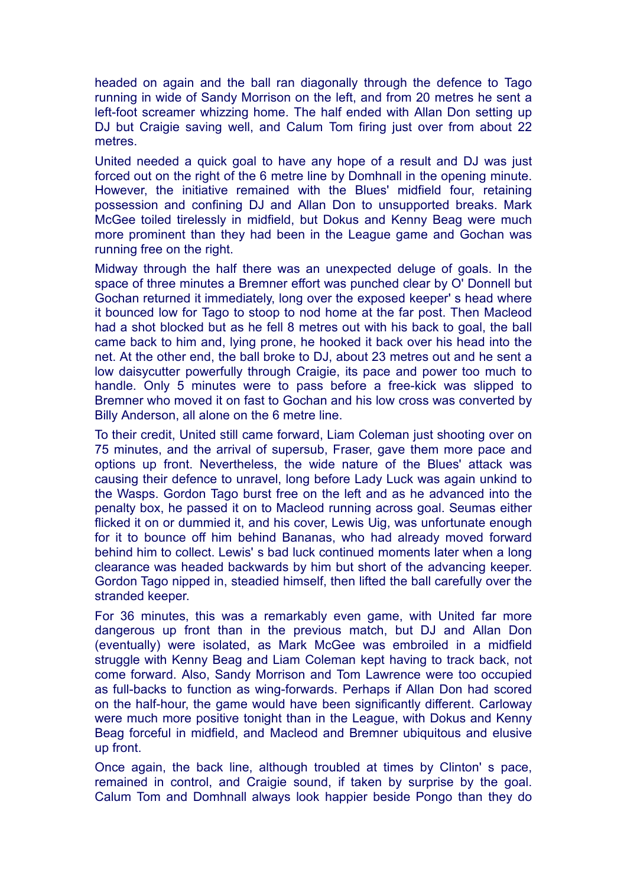headed on again and the ball ran diagonally through the defence to Tago running in wide of Sandy Morrison on the left, and from 20 metres he sent a left-foot screamer whizzing home. The half ended with Allan Don setting up DJ but Craigie saving well, and Calum Tom firing just over from about 22 metres.

United needed a quick goal to have any hope of a result and DJ was just forced out on the right of the 6 metre line by Domhnall in the opening minute. However, the initiative remained with the Blues' midfield four, retaining possession and confining DJ and Allan Don to unsupported breaks. Mark McGee toiled tirelessly in midfield, but Dokus and Kenny Beag were much more prominent than they had been in the League game and Gochan was running free on the right.

Midway through the half there was an unexpected deluge of goals. In the space of three minutes a Bremner effort was punched clear by O' Donnell but Gochan returned it immediately, long over the exposed keeper' s head where it bounced low for Tago to stoop to nod home at the far post. Then Macleod had a shot blocked but as he fell 8 metres out with his back to goal, the ball came back to him and, lying prone, he hooked it back over his head into the net. At the other end, the ball broke to DJ, about 23 metres out and he sent a low daisycutter powerfully through Craigie, its pace and power too much to handle. Only 5 minutes were to pass before a free-kick was slipped to Bremner who moved it on fast to Gochan and his low cross was converted by Billy Anderson, all alone on the 6 metre line.

To their credit, United still came forward, Liam Coleman just shooting over on 75 minutes, and the arrival of supersub, Fraser, gave them more pace and options up front. Nevertheless, the wide nature of the Blues' attack was causing their defence to unravel, long before Lady Luck was again unkind to the Wasps. Gordon Tago burst free on the left and as he advanced into the penalty box, he passed it on to Macleod running across goal. Seumas either flicked it on or dummied it, and his cover, Lewis Uig, was unfortunate enough for it to bounce off him behind Bananas, who had already moved forward behind him to collect. Lewis' s bad luck continued moments later when a long clearance was headed backwards by him but short of the advancing keeper. Gordon Tago nipped in, steadied himself, then lifted the ball carefully over the stranded keeper.

For 36 minutes, this was a remarkably even game, with United far more dangerous up front than in the previous match, but DJ and Allan Don (eventually) were isolated, as Mark McGee was embroiled in a midfield struggle with Kenny Beag and Liam Coleman kept having to track back, not come forward. Also, Sandy Morrison and Tom Lawrence were too occupied as full-backs to function as wing-forwards. Perhaps if Allan Don had scored on the half-hour, the game would have been significantly different. Carloway were much more positive tonight than in the League, with Dokus and Kenny Beag forceful in midfield, and Macleod and Bremner ubiquitous and elusive up front.

Once again, the back line, although troubled at times by Clinton' s pace, remained in control, and Craigie sound, if taken by surprise by the goal. Calum Tom and Domhnall always look happier beside Pongo than they do